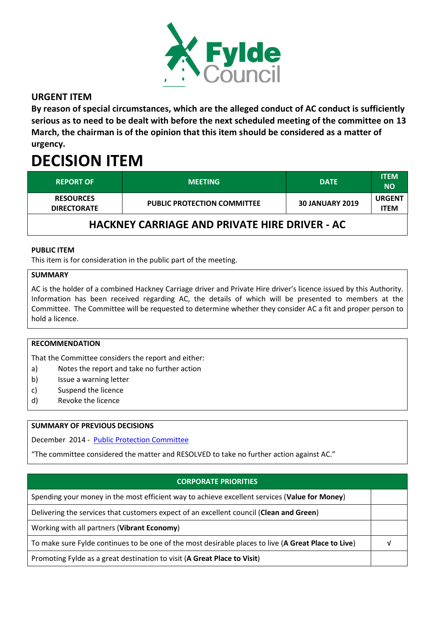

## **URGENT ITEM**

**By reason of special circumstances, which are the alleged conduct of AC conduct is sufficiently serious as to need to be dealt with before the next scheduled meeting of the committee on 13 March, the chairman is of the opinion that this item should be considered as a matter of urgency.**

# **DECISION ITEM**

| <b>REPORT OF</b>                       | <b>MEETING</b>                     | <b>DATE</b>            | <b>ITEM</b><br>NΟ     |
|----------------------------------------|------------------------------------|------------------------|-----------------------|
| <b>RESOURCES</b><br><b>DIRECTORATE</b> | <b>PUBLIC PROTECTION COMMITTEE</b> | <b>30 JANUARY 2019</b> | <b>URGENT</b><br>ITEM |

## **HACKNEY CARRIAGE AND PRIVATE HIRE DRIVER - AC**

#### **PUBLIC ITEM**

This item is for consideration in the public part of the meeting.

#### **SUMMARY**

AC is the holder of a combined Hackney Carriage driver and Private Hire driver's licence issued by this Authority. Information has been received regarding AC, the details of which will be presented to members at the Committee. The Committee will be requested to determine whether they consider AC a fit and proper person to hold a licence.

#### **RECOMMENDATION**

That the Committee considers the report and either:

- a) Notes the report and take no further action
- b) Issue a warning letter
- c) Suspend the licence
- d) Revoke the licence

#### **SUMMARY OF PREVIOUS DECISIONS**

December 2014 - [Public Protection Committee](https://fylde.cmis.uk.com/Fylde/MeetingsCalendar/tabid/70/ctl/ViewMeetingPublic/mid/397/Meeting/178/Committee/35/Default.aspx)

"The committee considered the matter and RESOLVED to take no further action against AC."

### **CORPORATE PRIORITIES**

Spending your money in the most efficient way to achieve excellent services (**Value for Money**)

Delivering the services that customers expect of an excellent council (**Clean and Green**)

Working with all partners (**Vibrant Economy**)

To make sure Fylde continues to be one of the most desirable places to live (**A Great Place to Live**) √

Promoting Fylde as a great destination to visit (**A Great Place to Visit**)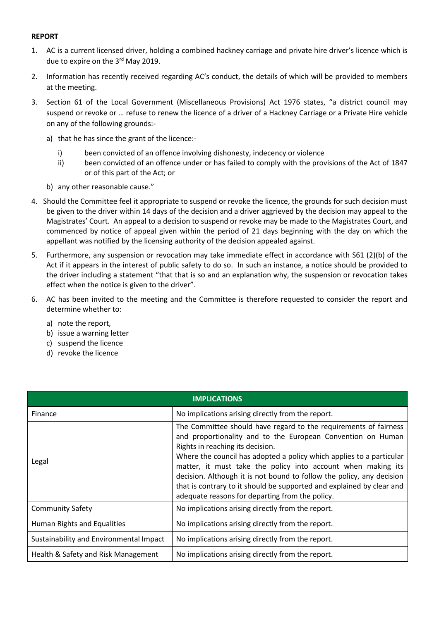#### **REPORT**

- 1. AC is a current licensed driver, holding a combined hackney carriage and private hire driver's licence which is due to expire on the 3<sup>rd</sup> May 2019.
- 2. Information has recently received regarding AC's conduct, the details of which will be provided to members at the meeting.
- 3. Section 61 of the Local Government (Miscellaneous Provisions) Act 1976 states, "a district council may suspend or revoke or … refuse to renew the licence of a driver of a Hackney Carriage or a Private Hire vehicle on any of the following grounds:
	- a) that he has since the grant of the licence:
		- i) been convicted of an offence involving dishonesty, indecency or violence
		- ii) been convicted of an offence under or has failed to comply with the provisions of the Act of 1847 or of this part of the Act; or
	- b) any other reasonable cause."
- 4. Should the Committee feel it appropriate to suspend or revoke the licence, the grounds for such decision must be given to the driver within 14 days of the decision and a driver aggrieved by the decision may appeal to the Magistrates' Court. An appeal to a decision to suspend or revoke may be made to the Magistrates Court, and commenced by notice of appeal given within the period of 21 days beginning with the day on which the appellant was notified by the licensing authority of the decision appealed against.
- 5. Furthermore, any suspension or revocation may take immediate effect in accordance with S61 (2)(b) of the Act if it appears in the interest of public safety to do so. In such an instance, a notice should be provided to the driver including a statement "that that is so and an explanation why, the suspension or revocation takes effect when the notice is given to the driver".
- 6. AC has been invited to the meeting and the Committee is therefore requested to consider the report and determine whether to:
	- a) note the report,
	- b) issue a warning letter
	- c) suspend the licence
	- d) revoke the licence

| <b>IMPLICATIONS</b>                     |                                                                                                                                                                                                                                                                                                                                                                                                                                                                                                                  |  |  |  |
|-----------------------------------------|------------------------------------------------------------------------------------------------------------------------------------------------------------------------------------------------------------------------------------------------------------------------------------------------------------------------------------------------------------------------------------------------------------------------------------------------------------------------------------------------------------------|--|--|--|
| Finance                                 | No implications arising directly from the report.                                                                                                                                                                                                                                                                                                                                                                                                                                                                |  |  |  |
| Legal                                   | The Committee should have regard to the requirements of fairness<br>and proportionality and to the European Convention on Human<br>Rights in reaching its decision.<br>Where the council has adopted a policy which applies to a particular<br>matter, it must take the policy into account when making its<br>decision. Although it is not bound to follow the policy, any decision<br>that is contrary to it should be supported and explained by clear and<br>adequate reasons for departing from the policy. |  |  |  |
| <b>Community Safety</b>                 | No implications arising directly from the report.                                                                                                                                                                                                                                                                                                                                                                                                                                                                |  |  |  |
| Human Rights and Equalities             | No implications arising directly from the report.                                                                                                                                                                                                                                                                                                                                                                                                                                                                |  |  |  |
| Sustainability and Environmental Impact | No implications arising directly from the report.                                                                                                                                                                                                                                                                                                                                                                                                                                                                |  |  |  |
| Health & Safety and Risk Management     | No implications arising directly from the report.                                                                                                                                                                                                                                                                                                                                                                                                                                                                |  |  |  |